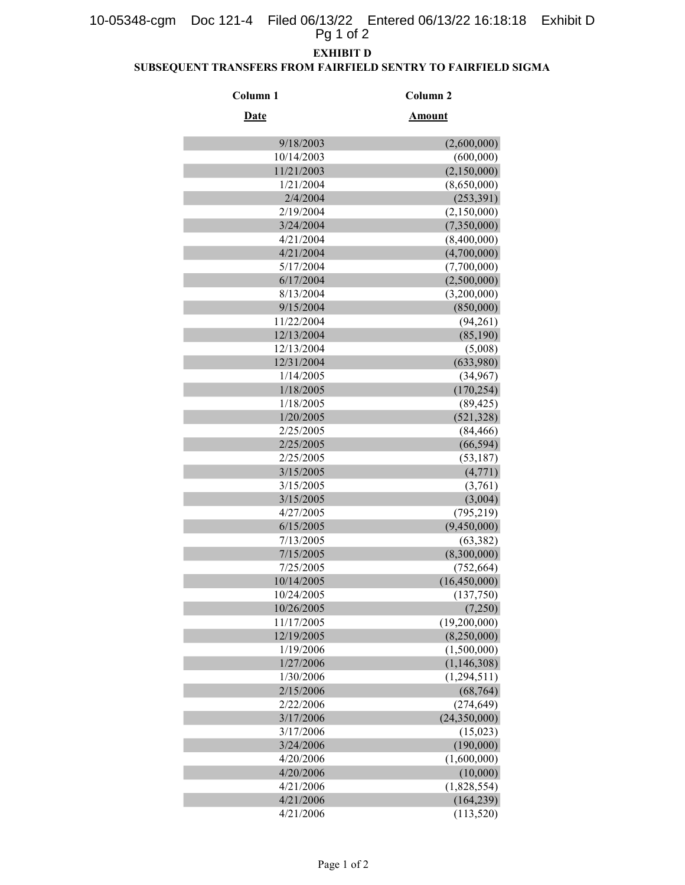## 10-05348-cgm Doc 121-4 Filed 06/13/22 Entered 06/13/22 16:18:18 Exhibit D Pg 1 of 2

## EXHIBIT D

### SUBSEQUENT TRANSFERS FROM FAIRFIELD SENTRY TO FAIRFIELD SIGMA

| Column <sub>1</sub> | Column <sub>2</sub> |
|---------------------|---------------------|
| <b>Date</b>         | Amount              |
| 9/18/2003           | (2,600,000)         |
| 10/14/2003          | (600,000)           |
| 11/21/2003          | (2,150,000)         |
| 1/21/2004           | (8,650,000)         |
| 2/4/2004            | (253, 391)          |
| 2/19/2004           | (2,150,000)         |
| 3/24/2004           | (7,350,000)         |
| 4/21/2004           | (8,400,000)         |
| 4/21/2004           | (4,700,000)         |
| 5/17/2004           | (7,700,000)         |
| 6/17/2004           | (2,500,000)         |
| 8/13/2004           | (3,200,000)         |
| 9/15/2004           | (850,000)           |
| 11/22/2004          | (94,261)            |
| 12/13/2004          | (85,190)            |
| 12/13/2004          | (5,008)             |
| 12/31/2004          | (633,980)           |
| 1/14/2005           | (34, 967)           |
| 1/18/2005           | (170, 254)          |
| 1/18/2005           | (89, 425)           |
| 1/20/2005           | (521, 328)          |
| 2/25/2005           | (84, 466)           |
| 2/25/2005           | (66, 594)           |
| 2/25/2005           | (53, 187)           |
| 3/15/2005           | (4, 771)            |
| 3/15/2005           | (3,761)             |
| 3/15/2005           | (3,004)             |
| 4/27/2005           | (795, 219)          |
| 6/15/2005           | (9,450,000)         |
| 7/13/2005           | (63, 382)           |
| 7/15/2005           | (8,300,000)         |
| 7/25/2005           | (752, 664)          |
| 10/14/2005          | (16, 450, 000)      |
| 10/24/2005          | (137,750)           |
| 10/26/2005          | (7,250)             |
| 11/17/2005          | (19,200,000)        |
| 12/19/2005          | (8,250,000)         |
| 1/19/2006           | (1,500,000)         |
| 1/27/2006           | (1, 146, 308)       |
| 1/30/2006           | (1,294,511)         |
| 2/15/2006           | (68, 764)           |
| 2/22/2006           | (274, 649)          |
| 3/17/2006           | (24,350,000)        |
| 3/17/2006           | (15,023)            |
| 3/24/2006           | (190,000)           |
| 4/20/2006           | (1,600,000)         |
| 4/20/2006           | (10,000)            |
| 4/21/2006           | (1,828,554)         |
| 4/21/2006           | (164, 239)          |
| 4/21/2006           | (113, 520)          |